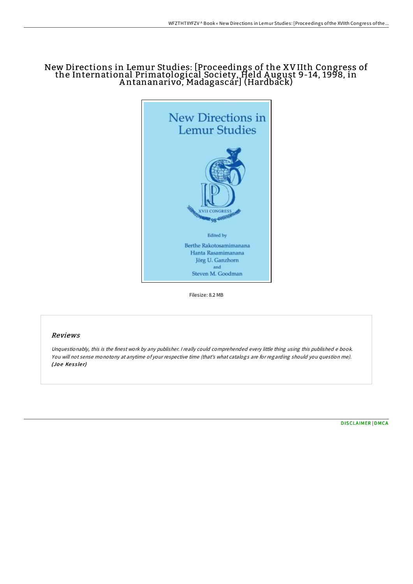# New Directions in Lemur Studies: [Proceedings of the XVIIth Congress of the International Primatological Society, Held A ugust 9-14, 1998, in A ntananarivo, Madagascar] (Hardback)



Filesize: 8.2 MB

### Reviews

Unquestionably, this is the finest work by any publisher. <sup>I</sup> really could comprehended every little thing using this published <sup>e</sup> book. You will not sense monotony at anytime of your respective time (that's what catalogs are for regarding should you question me). (Joe Kessler)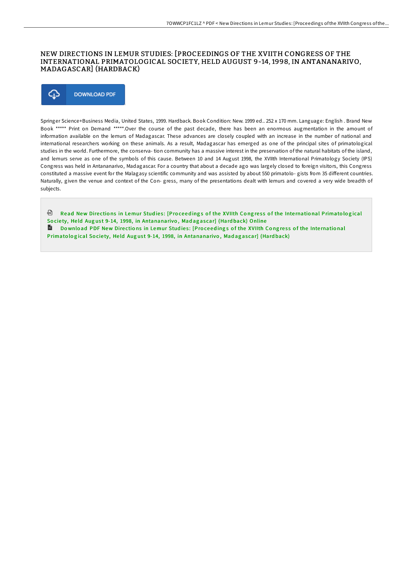### NEW DIRECTIONS IN LEMUR STUDIES: [PROCEEDINGS OF THE XVIITH CONGRESS OF THE INTERNATIONAL PRIMATOLOGICAL SOCIETY, HELD AUGUST 9-14, 1998, IN ANTANANARIVO, MADAGASCAR] (HARDBACK)



Springer Science+Business Media, United States, 1999. Hardback. Book Condition: New. 1999 ed.. 252 x 170 mm. Language: English . Brand New Book \*\*\*\*\* Print on Demand \*\*\*\*\*.Over the course of the past decade, there has been an enormous augmentation in the amount of information available on the lemurs of Madagascar. These advances are closely coupled with an increase in the number of national and international researchers working on these animals. As a result, Madagascar has emerged as one of the principal sites of primatological studies in the world. Furthermore, the conserva- tion community has a massive interest in the preservation of the natural habitats of the island, and lemurs serve as one of the symbols of this cause. Between 10 and 14 August 1998, the XVIIth International Primatology Society (IPS) Congress was held in Antananarivo, Madagascar. For a country that about a decade ago was largely closed to foreign visitors, this Congress constituted a massive event for the Malagasy scientific community and was assisted by about 550 primatolo- gists from 35 different countries. Naturally, given the venue and context of the Con- gress, many of the presentations dealt with lemurs and covered a very wide breadth of subjects.

<sup>回</sup> Read New Directions in Lemur Studies: [Proceedings of the XVIIth Congress of the International Primatological Society, Held August 9-14, 1998, in [Antananarivo](http://almighty24.tech/new-directions-in-lemur-studies-proceedings-of-t.html), Madagascar] (Hardback) Online Download PDF New Directions in Lemur Studies: [Proceedings of the XVIIth Congress of the International Primato logical Society, Held August 9-14, 1998, in [Antananarivo](http://almighty24.tech/new-directions-in-lemur-studies-proceedings-of-t.html), Madagascar] (Hardback)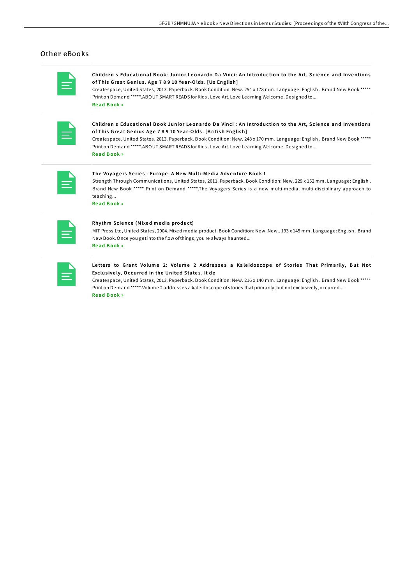## Other eBooks

| <b>Service Service</b><br><b>Service Service</b>                                                                                                                                                                                                                                                                                                                            |
|-----------------------------------------------------------------------------------------------------------------------------------------------------------------------------------------------------------------------------------------------------------------------------------------------------------------------------------------------------------------------------|
| and the state of the state of the state of the state of the state of the state of the state of the state of th<br>_______<br><b>Contract Contract Contract Contract Contract Contract Contract Contract Contract Contract Contract Contract Co</b><br><b>Contract Contract Contract Contract Contract Contract Contract Contract Contract Contract Contract Contract Co</b> |

Children s Educational Book: Junior Leonardo Da Vinci: An Introduction to the Art, Science and Inventions of This Great Genius. Age 78910 Year-Olds. [Us English]

Createspace, United States, 2013. Paperback. Book Condition: New. 254 x 178 mm. Language: English . Brand New Book \*\*\*\*\* Print on Demand \*\*\*\*\*.ABOUT SMART READS for Kids . Love Art, Love Learning Welcome. Designed to... Read B[ook](http://almighty24.tech/children-s-educational-book-junior-leonardo-da-v.html) »

| and the state of the state of the state of the state of the state of the state of the state of the state of th                             |
|--------------------------------------------------------------------------------------------------------------------------------------------|
| _______<br>$\mathcal{L}^{\text{max}}_{\text{max}}$ and $\mathcal{L}^{\text{max}}_{\text{max}}$ and $\mathcal{L}^{\text{max}}_{\text{max}}$ |

Children s Educational Book Junior Leonardo Da Vinci : An Introduction to the Art, Science and Inventions of This Great Genius Age 7 8 9 10 Year-Olds. [British English]

Createspace, United States, 2013. Paperback. Book Condition: New. 248 x 170 mm. Language: English . Brand New Book \*\*\*\*\* Print on Demand \*\*\*\*\*.ABOUT SMART READS for Kids . Love Art, Love Learning Welcome. Designed to... Re a d B [ook](http://almighty24.tech/children-s-educational-book-junior-leonardo-da-v-1.html) »

| -- |
|----|
| ٠  |

#### The Voyagers Series - Europe: A New Multi-Media Adventure Book 1

Strength Through Communications, United States, 2011. Paperback. Book Condition: New. 229 x 152 mm. Language: English . Brand New Book \*\*\*\*\* Print on Demand \*\*\*\*\*.The Voyagers Series is a new multi-media, multi-disciplinary approach to teaching...

Read B[ook](http://almighty24.tech/the-voyagers-series-europe-a-new-multi-media-adv.html) »

|  | <b>Service Service</b>                                                                                                  |  |
|--|-------------------------------------------------------------------------------------------------------------------------|--|
|  | $\mathcal{L}(\mathcal{L})$ and $\mathcal{L}(\mathcal{L})$ and $\mathcal{L}(\mathcal{L})$ and $\mathcal{L}(\mathcal{L})$ |  |

#### Rhythm Science (Mixed media product)

MIT Press Ltd, United States, 2004. Mixed media product. Book Condition: New. New.. 193 x 145 mm. Language: English . Brand New Book. Once you getinto the flow ofthings, you re always haunted... Re a d B [ook](http://almighty24.tech/rhythm-science-mixed-media-product.html) »

| <b>CONTRACTOR</b><br>and the state of the state of the state of the state of the state of the state of the state of the state of th<br>and the state of the state of the state of the state of the state of the state of the state of the state of th<br><b>Service Service</b> |
|---------------------------------------------------------------------------------------------------------------------------------------------------------------------------------------------------------------------------------------------------------------------------------|
| $\mathcal{L}^{\text{max}}_{\text{max}}$ and $\mathcal{L}^{\text{max}}_{\text{max}}$ and $\mathcal{L}^{\text{max}}_{\text{max}}$                                                                                                                                                 |

#### Letters to Grant Volume 2: Volume 2 Addresses a Kaleidoscope of Stories That Primarily, But Not Exclusively, Occurred in the United States. It de

Createspace, United States, 2013. Paperback. Book Condition: New. 216 x 140 mm. Language: English . Brand New Book \*\*\*\*\* Print on Demand \*\*\*\*\*.Volume 2 addresses a kaleidoscope of stories that primarily, but not exclusively, occurred... Read B[ook](http://almighty24.tech/letters-to-grant-volume-2-volume-2-addresses-a-k.html) »